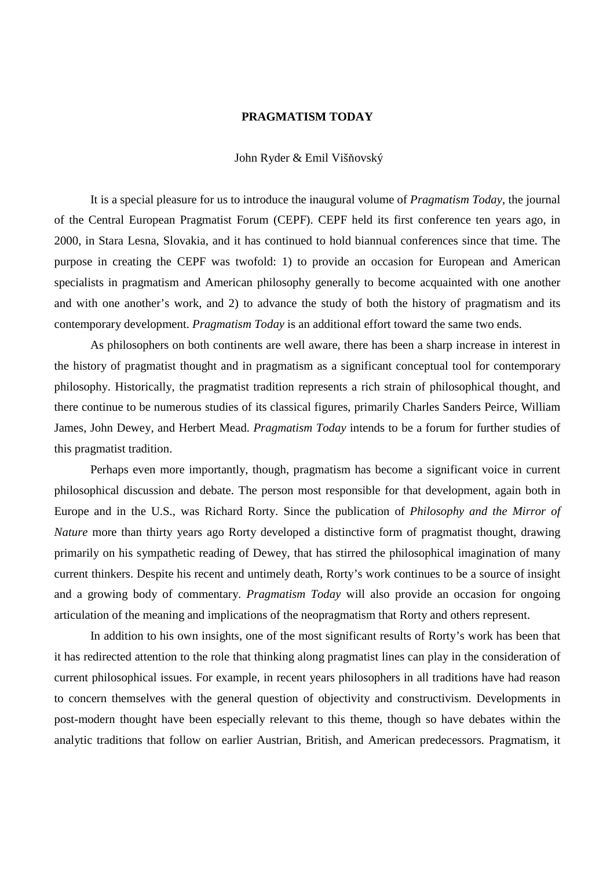## **PRAGMATISM TODAY**

## John Ryder & Emil Višňovský

It is a special pleasure for us to introduce the inaugural volume of *Pragmatism Today*, the journal of the Central European Pragmatist Forum (CEPF). CEPF held its first conference ten years ago, in 2000, in Stara Lesna, Slovakia, and it has continued to hold biannual conferences since that time. The purpose in creating the CEPF was twofold: 1) to provide an occasion for European and American specialists in pragmatism and American philosophy generally to become acquainted with one another and with one another's work, and 2) to advance the study of both the history of pragmatism and its contemporary development. *Pragmatism Today* is an additional effort toward the same two ends.

 As philosophers on both continents are well aware, there has been a sharp increase in interest in the history of pragmatist thought and in pragmatism as a significant conceptual tool for contemporary philosophy. Historically, the pragmatist tradition represents a rich strain of philosophical thought, and there continue to be numerous studies of its classical figures, primarily Charles Sanders Peirce, William James, John Dewey, and Herbert Mead. *Pragmatism Today* intends to be a forum for further studies of this pragmatist tradition.

 Perhaps even more importantly, though, pragmatism has become a significant voice in current philosophical discussion and debate. The person most responsible for that development, again both in Europe and in the U.S., was Richard Rorty. Since the publication of *Philosophy and the Mirror of Nature* more than thirty years ago Rorty developed a distinctive form of pragmatist thought, drawing primarily on his sympathetic reading of Dewey, that has stirred the philosophical imagination of many current thinkers. Despite his recent and untimely death, Rorty's work continues to be a source of insight and a growing body of commentary. *Pragmatism Today* will also provide an occasion for ongoing articulation of the meaning and implications of the neopragmatism that Rorty and others represent.

 In addition to his own insights, one of the most significant results of Rorty's work has been that it has redirected attention to the role that thinking along pragmatist lines can play in the consideration of current philosophical issues. For example, in recent years philosophers in all traditions have had reason to concern themselves with the general question of objectivity and constructivism. Developments in post-modern thought have been especially relevant to this theme, though so have debates within the analytic traditions that follow on earlier Austrian, British, and American predecessors. Pragmatism, it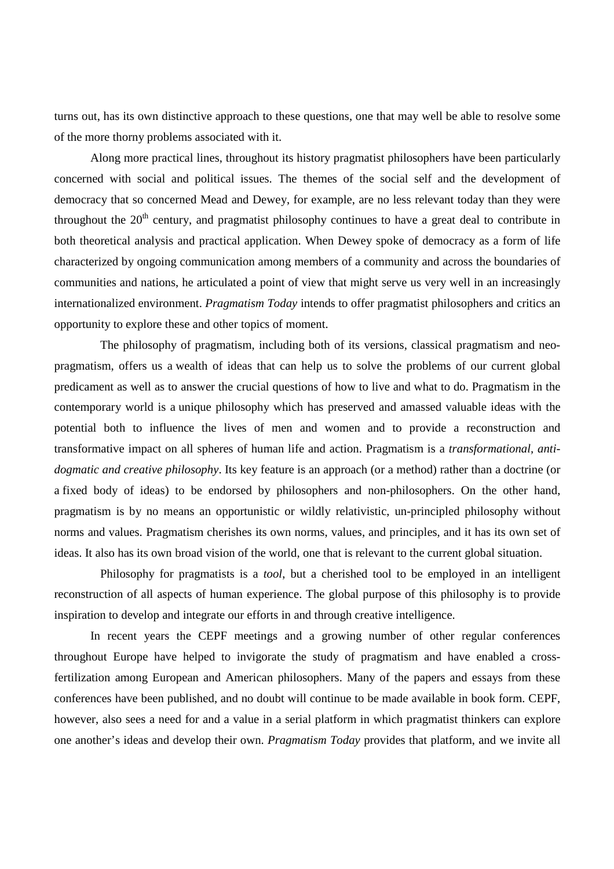turns out, has its own distinctive approach to these questions, one that may well be able to resolve some of the more thorny problems associated with it.

 Along more practical lines, throughout its history pragmatist philosophers have been particularly concerned with social and political issues. The themes of the social self and the development of democracy that so concerned Mead and Dewey, for example, are no less relevant today than they were throughout the  $20<sup>th</sup>$  century, and pragmatist philosophy continues to have a great deal to contribute in both theoretical analysis and practical application. When Dewey spoke of democracy as a form of life characterized by ongoing communication among members of a community and across the boundaries of communities and nations, he articulated a point of view that might serve us very well in an increasingly internationalized environment. *Pragmatism Today* intends to offer pragmatist philosophers and critics an opportunity to explore these and other topics of moment.

The philosophy of pragmatism, including both of its versions, classical pragmatism and neopragmatism, offers us a wealth of ideas that can help us to solve the problems of our current global predicament as well as to answer the crucial questions of how to live and what to do. Pragmatism in the contemporary world is a unique philosophy which has preserved and amassed valuable ideas with the potential both to influence the lives of men and women and to provide a reconstruction and transformative impact on all spheres of human life and action. Pragmatism is a *transformational, antidogmatic and creative philosophy*. Its key feature is an approach (or a method) rather than a doctrine (or a fixed body of ideas) to be endorsed by philosophers and non-philosophers. On the other hand, pragmatism is by no means an opportunistic or wildly relativistic, un-principled philosophy without norms and values. Pragmatism cherishes its own norms, values, and principles, and it has its own set of ideas. It also has its own broad vision of the world, one that is relevant to the current global situation.

 Philosophy for pragmatists is a *tool*, but a cherished tool to be employed in an intelligent reconstruction of all aspects of human experience. The global purpose of this philosophy is to provide inspiration to develop and integrate our efforts in and through creative intelligence.

In recent years the CEPF meetings and a growing number of other regular conferences throughout Europe have helped to invigorate the study of pragmatism and have enabled a crossfertilization among European and American philosophers. Many of the papers and essays from these conferences have been published, and no doubt will continue to be made available in book form. CEPF, however, also sees a need for and a value in a serial platform in which pragmatist thinkers can explore one another's ideas and develop their own. *Pragmatism Today* provides that platform, and we invite all